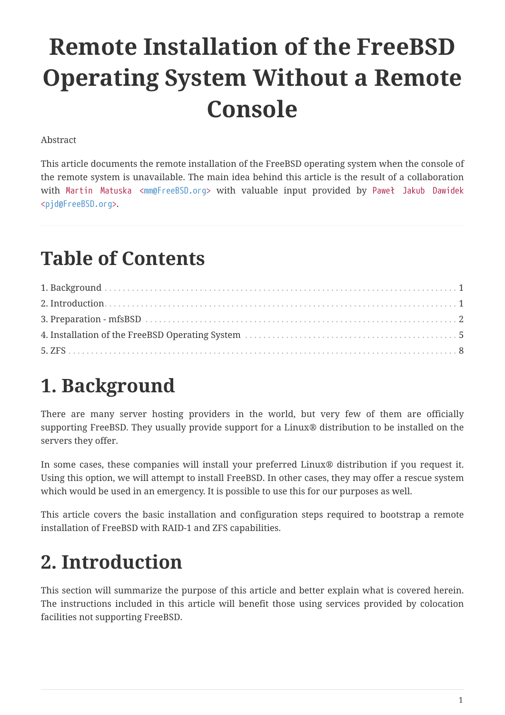# **Remote Installation of the FreeBSD Operating System Without a Remote Console**

Abstract

This article documents the remote installation of the FreeBSD operating system when the console of the remote system is unavailable. The main idea behind this article is the result of a collaboration with Martin Matuska <[mm@FreeBSD.org](mailto:mm@FreeBSD.org)> with valuable input provided by Paweł Jakub Dawidek [<pjd@FreeBSD.org](mailto:pjd@FreeBSD.org)>.

# **Table of Contents**

# <span id="page-0-0"></span>**1. Background**

There are many server hosting providers in the world, but very few of them are officially supporting FreeBSD. They usually provide support for a Linux® distribution to be installed on the servers they offer.

In some cases, these companies will install your preferred Linux® distribution if you request it. Using this option, we will attempt to install FreeBSD. In other cases, they may offer a rescue system which would be used in an emergency. It is possible to use this for our purposes as well.

This article covers the basic installation and configuration steps required to bootstrap a remote installation of FreeBSD with RAID-1 and ZFS capabilities.

# <span id="page-0-1"></span>**2. Introduction**

This section will summarize the purpose of this article and better explain what is covered herein. The instructions included in this article will benefit those using services provided by colocation facilities not supporting FreeBSD.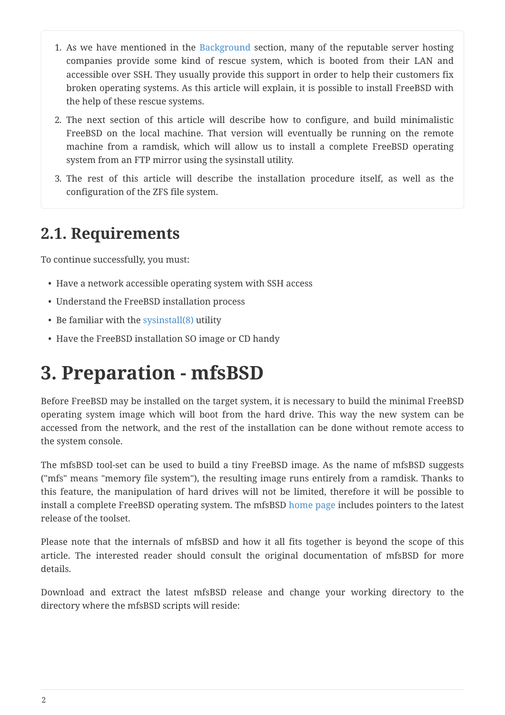- 1. As we have mentioned in the [Background](#page-0-0) section, many of the reputable server hosting companies provide some kind of rescue system, which is booted from their LAN and accessible over SSH. They usually provide this support in order to help their customers fix broken operating systems. As this article will explain, it is possible to install FreeBSD with the help of these rescue systems.
- 2. The next section of this article will describe how to configure, and build minimalistic FreeBSD on the local machine. That version will eventually be running on the remote machine from a ramdisk, which will allow us to install a complete FreeBSD operating system from an FTP mirror using the sysinstall utility.
- 3. The rest of this article will describe the installation procedure itself, as well as the configuration of the ZFS file system.

### **2.1. Requirements**

To continue successfully, you must:

- Have a network accessible operating system with SSH access
- Understand the FreeBSD installation process
- Be familiar with the [sysinstall\(8\)](https://www.freebsd.org/cgi/man.cgi?query=sysinstall&sektion=8&format=html) utility
- Have the FreeBSD installation SO image or CD handy

# <span id="page-1-0"></span>**3. Preparation - mfsBSD**

Before FreeBSD may be installed on the target system, it is necessary to build the minimal FreeBSD operating system image which will boot from the hard drive. This way the new system can be accessed from the network, and the rest of the installation can be done without remote access to the system console.

The mfsBSD tool-set can be used to build a tiny FreeBSD image. As the name of mfsBSD suggests ("mfs" means "memory file system"), the resulting image runs entirely from a ramdisk. Thanks to this feature, the manipulation of hard drives will not be limited, therefore it will be possible to install a complete FreeBSD operating system. The mfsBSD [home page](http://mfsbsd.vx.sk/) includes pointers to the latest release of the toolset.

Please note that the internals of mfsBSD and how it all fits together is beyond the scope of this article. The interested reader should consult the original documentation of mfsBSD for more details.

Download and extract the latest mfsBSD release and change your working directory to the directory where the mfsBSD scripts will reside: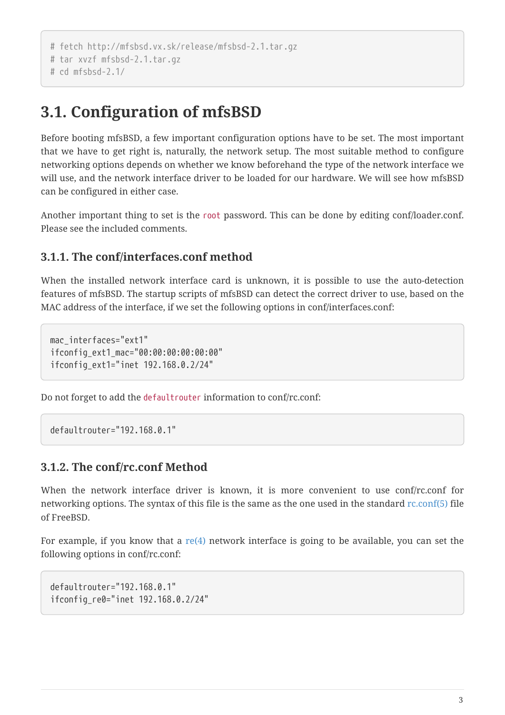```
# fetch http://mfsbsd.vx.sk/release/mfsbsd-2.1.tar.gz
# tar xvzf mfsbsd-2.1.tar.gz
# cd mfsbsd-2.1/
```
### **3.1. Configuration of mfsBSD**

Before booting mfsBSD, a few important configuration options have to be set. The most important that we have to get right is, naturally, the network setup. The most suitable method to configure networking options depends on whether we know beforehand the type of the network interface we will use, and the network interface driver to be loaded for our hardware. We will see how mfsBSD can be configured in either case.

Another important thing to set is the root password. This can be done by editing conf/loader.conf. Please see the included comments.

#### **3.1.1. The conf/interfaces.conf method**

When the installed network interface card is unknown, it is possible to use the auto-detection features of mfsBSD. The startup scripts of mfsBSD can detect the correct driver to use, based on the MAC address of the interface, if we set the following options in conf/interfaces.conf:

```
mac_interfaces="ext1"
ifconfig_ext1_mac="00:00:00:00:00:00"
ifconfig_ext1="inet 192.168.0.2/24"
```
Do not forget to add the defaultrouter information to conf/rc.conf:

defaultrouter="192.168.0.1"

#### **3.1.2. The conf/rc.conf Method**

When the network interface driver is known, it is more convenient to use conf/rc.conf for networking options. The syntax of this file is the same as the one used in the standard [rc.conf\(5\)](https://www.freebsd.org/cgi/man.cgi?query=rc.conf&sektion=5&format=html) file of FreeBSD.

For example, if you know that a  $re(4)$  network interface is going to be available, you can set the following options in conf/rc.conf:

defaultrouter="192.168.0.1" ifconfig\_re0="inet 192.168.0.2/24"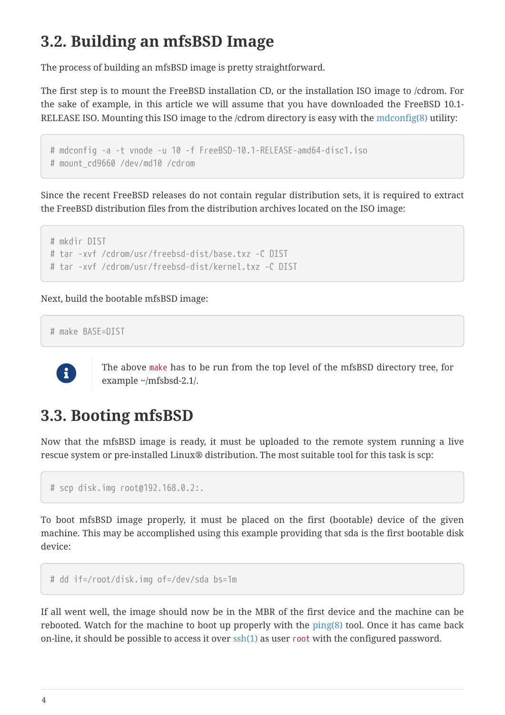## **3.2. Building an mfsBSD Image**

The process of building an mfsBSD image is pretty straightforward.

The first step is to mount the FreeBSD installation CD, or the installation ISO image to /cdrom. For the sake of example, in this article we will assume that you have downloaded the FreeBSD 10.1- RELEASE ISO. Mounting this ISO image to the /cdrom directory is easy with the [mdconfig\(8\)](https://www.freebsd.org/cgi/man.cgi?query=mdconfig&sektion=8&format=html) utility:

```
# mdconfig -a -t vnode -u 10 -f FreeBSD-10.1-RELEASE-amd64-disc1.iso
# mount cd9660 /dev/md10 /cdrom
```
Since the recent FreeBSD releases do not contain regular distribution sets, it is required to extract the FreeBSD distribution files from the distribution archives located on the ISO image:

```
# mkdir DIST
# tar -xvf /cdrom/usr/freebsd-dist/base.txz -C DIST
# tar -xvf /cdrom/usr/freebsd-dist/kernel.txz -C DIST
```
Next, build the bootable mfsBSD image:

```
# make BASE=DIST
```


The above make has to be run from the top level of the mfsBSD directory tree, for example ~/mfsbsd-2.1/.

### **3.3. Booting mfsBSD**

Now that the mfsBSD image is ready, it must be uploaded to the remote system running a live rescue system or pre-installed Linux® distribution. The most suitable tool for this task is scp:

```
# scp disk.img root@192.168.0.2:.
```
To boot mfsBSD image properly, it must be placed on the first (bootable) device of the given machine. This may be accomplished using this example providing that sda is the first bootable disk device:

```
# dd if=/root/disk.img of=/dev/sda bs=1m
```
If all went well, the image should now be in the MBR of the first device and the machine can be rebooted. Watch for the machine to boot up properly with the  $\text{ping}(8)$  tool. Once it has came back on-line, it should be possible to access it over  $\operatorname{osh}(1)$  as user root with the configured password.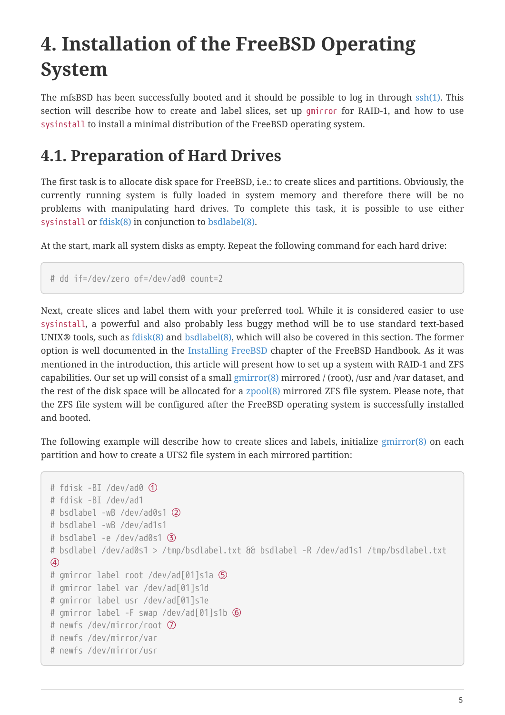# <span id="page-4-0"></span>**4. Installation of the FreeBSD Operating System**

The mfsBSD has been successfully booted and it should be possible to log in through [ssh\(1\)](https://www.freebsd.org/cgi/man.cgi?query=ssh&sektion=1&format=html). This section will describe how to create and label slices, set up gmirror for RAID-1, and how to use sysinstall to install a minimal distribution of the FreeBSD operating system.

### **4.1. Preparation of Hard Drives**

The first task is to allocate disk space for FreeBSD, i.e.: to create slices and partitions. Obviously, the currently running system is fully loaded in system memory and therefore there will be no problems with manipulating hard drives. To complete this task, it is possible to use either sysinstall or [fdisk\(8\)](https://www.freebsd.org/cgi/man.cgi?query=fdisk&sektion=8&format=html) in conjunction to [bsdlabel\(8\)](https://www.freebsd.org/cgi/man.cgi?query=bsdlabel&sektion=8&format=html).

At the start, mark all system disks as empty. Repeat the following command for each hard drive:

```
# dd if=/dev/zero of=/dev/ad0 count=2
```
Next, create slices and label them with your preferred tool. While it is considered easier to use sysinstall, a powerful and also probably less buggy method will be to use standard text-based UNIX® tools, such as [fdisk\(8\)](https://www.freebsd.org/cgi/man.cgi?query=fdisk&sektion=8&format=html) and [bsdlabel\(8\)](https://www.freebsd.org/cgi/man.cgi?query=bsdlabel&sektion=8&format=html), which will also be covered in this section. The former option is well documented in the [Installing FreeBSD](https://docs.freebsd.org/en/books/handbook/#install-steps) chapter of the FreeBSD Handbook. As it was mentioned in the introduction, this article will present how to set up a system with RAID-1 and ZFS capabilities. Our set up will consist of a small [gmirror\(8\)](https://www.freebsd.org/cgi/man.cgi?query=gmirror&sektion=8&format=html) mirrored / (root), /usr and /var dataset, and the rest of the disk space will be allocated for a [zpool\(8\)](https://www.freebsd.org/cgi/man.cgi?query=zpool&sektion=8&format=html) mirrored ZFS file system. Please note, that the ZFS file system will be configured after the FreeBSD operating system is successfully installed and booted.

The following example will describe how to create slices and labels, initialize [gmirror\(8\)](https://www.freebsd.org/cgi/man.cgi?query=gmirror&sektion=8&format=html) on each partition and how to create a UFS2 file system in each mirrored partition:

```
# fdisk -BI /dev/ad0 ①
# fdisk -BI /dev/ad1
# bsdlabel -wB /dev/ad0s1 ②
# bsdlabel -wB /dev/ad1s1
# bsdlabel -e /dev/ad0s1 ③
# bsdlabel /dev/ad0s1 > /tmp/bsdlabel.txt && bsdlabel -R /dev/ad1s1 /tmp/bsdlabel.txt
④
# gmirror label root /dev/ad[01]s1a ⑤
# gmirror label var /dev/ad[01]s1d
# gmirror label usr /dev/ad[01]s1e
# gmirror label -F swap /dev/ad[01]s1b ⑥
# newfs /dev/mirror/root ⑦
# newfs /dev/mirror/var
# newfs /dev/mirror/usr
```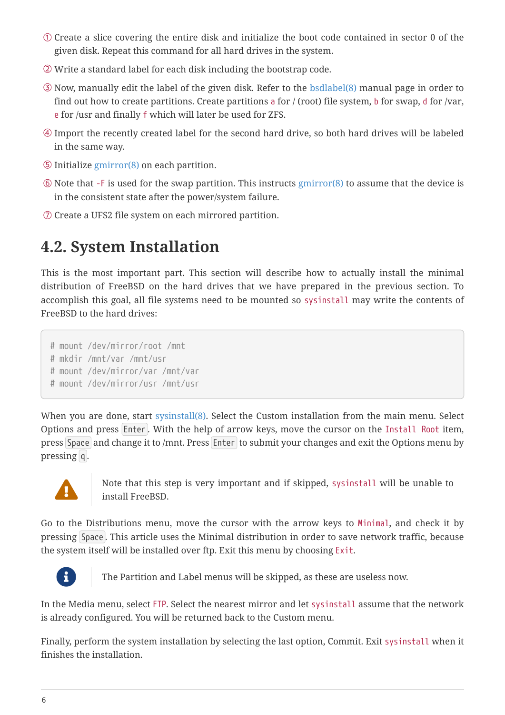- ① Create a slice covering the entire disk and initialize the boot code contained in sector 0 of the given disk. Repeat this command for all hard drives in the system.
- ② Write a standard label for each disk including the bootstrap code.
- ③ Now, manually edit the label of the given disk. Refer to the [bsdlabel\(8\)](https://www.freebsd.org/cgi/man.cgi?query=bsdlabel&sektion=8&format=html) manual page in order to find out how to create partitions. Create partitions a for  $/$  (root) file system, b for swap, d for /var, e for /usr and finally f which will later be used for ZFS.
- ④ Import the recently created label for the second hard drive, so both hard drives will be labeled in the same way.
- ⑤ Initialize [gmirror\(8\)](https://www.freebsd.org/cgi/man.cgi?query=gmirror&sektion=8&format=html) on each partition.
- ⑥ Note that -F is used for the swap partition. This instructs [gmirror\(8\)](https://www.freebsd.org/cgi/man.cgi?query=gmirror&sektion=8&format=html) to assume that the device is in the consistent state after the power/system failure.
- ⑦ Create a UFS2 file system on each mirrored partition.

## **4.2. System Installation**

This is the most important part. This section will describe how to actually install the minimal distribution of FreeBSD on the hard drives that we have prepared in the previous section. To accomplish this goal, all file systems need to be mounted so sysinstall may write the contents of FreeBSD to the hard drives:

```
# mount /dev/mirror/root /mnt
```
# mkdir /mnt/var /mnt/usr

# mount /dev/mirror/var /mnt/var

# mount /dev/mirror/usr /mnt/usr

When you are done, start [sysinstall\(8\).](https://www.freebsd.org/cgi/man.cgi?query=sysinstall&sektion=8&format=html) Select the Custom installation from the main menu. Select Options and press Enter . With the help of arrow keys, move the cursor on the Install Root item, press Space and change it to /mnt. Press Enter to submit your changes and exit the Options menu by pressing q.



Note that this step is very important and if skipped, sysinstall will be unable to<br>intell Free RSD install FreeBSD.

Go to the Distributions menu, move the cursor with the arrow keys to Minimal, and check it by pressing Space . This article uses the Minimal distribution in order to save network traffic, because the system itself will be installed over ftp. Exit this menu by choosing Exit.



The Partition and Label menus will be skipped, as these are useless now.

In the Media menu, select FTP. Select the nearest mirror and let sysinstall assume that the network is already configured. You will be returned back to the Custom menu.

Finally, perform the system installation by selecting the last option, Commit. Exit sysinstall when it finishes the installation.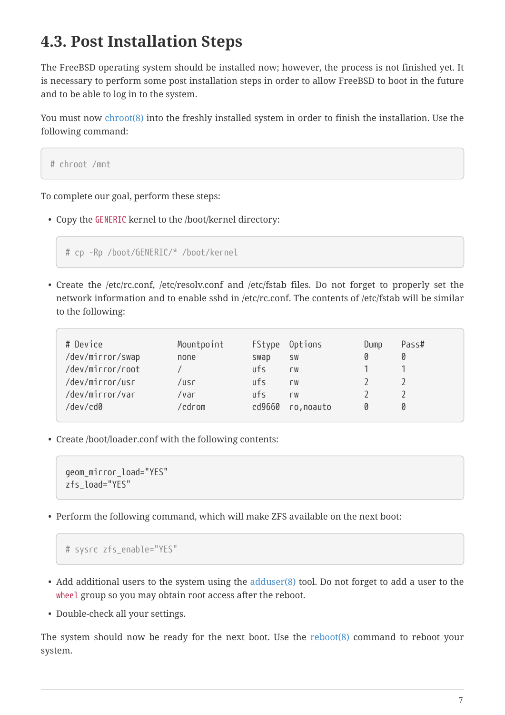### **4.3. Post Installation Steps**

The FreeBSD operating system should be installed now; however, the process is not finished yet. It is necessary to perform some post installation steps in order to allow FreeBSD to boot in the future and to be able to log in to the system.

You must now [chroot\(8\)](https://www.freebsd.org/cgi/man.cgi?query=chroot&sektion=8&format=html) into the freshly installed system in order to finish the installation. Use the following command:

# chroot /mnt

To complete our goal, perform these steps:

• Copy the GENERIC kernel to the /boot/kernel directory:

# cp -Rp /boot/GENERIC/\* /boot/kernel

• Create the /etc/rc.conf, /etc/resolv.conf and /etc/fstab files. Do not forget to properly set the network information and to enable sshd in /etc/rc.conf. The contents of /etc/fstab will be similar to the following:

| # Device<br>/dev/mirror/swap        | Mountpoint<br>none | swap                     | FStype Options<br><b>SW</b> | Dump<br>Ø | Pass#<br>Ø |
|-------------------------------------|--------------------|--------------------------|-----------------------------|-----------|------------|
| /dev/mirror/root<br>/dev/mirror/usr | /usr               | ufs<br>$^{\text{IIfs}}$  | <b>LM</b><br><b>LM</b>      |           |            |
| /dev/mirror/var<br>/dev/cd0         | /var<br>cdrom'     | $\overline{u}$<br>cd9660 | <b>LM</b><br>ro, noauto     | n         | Ø          |

• Create /boot/loader.conf with the following contents:

```
geom_mirror_load="YES"
zfs_load="YES"
```
• Perform the following command, which will make ZFS available on the next boot:

```
# sysrc zfs_enable="YES"
```
- Add additional users to the system using the [adduser\(8\)](https://www.freebsd.org/cgi/man.cgi?query=adduser&sektion=8&format=html) tool. Do not forget to add a user to the wheel group so you may obtain root access after the reboot.
- Double-check all your settings.

The system should now be ready for the next boot. Use the [reboot\(8\)](https://www.freebsd.org/cgi/man.cgi?query=reboot&sektion=8&format=html) command to reboot your system.